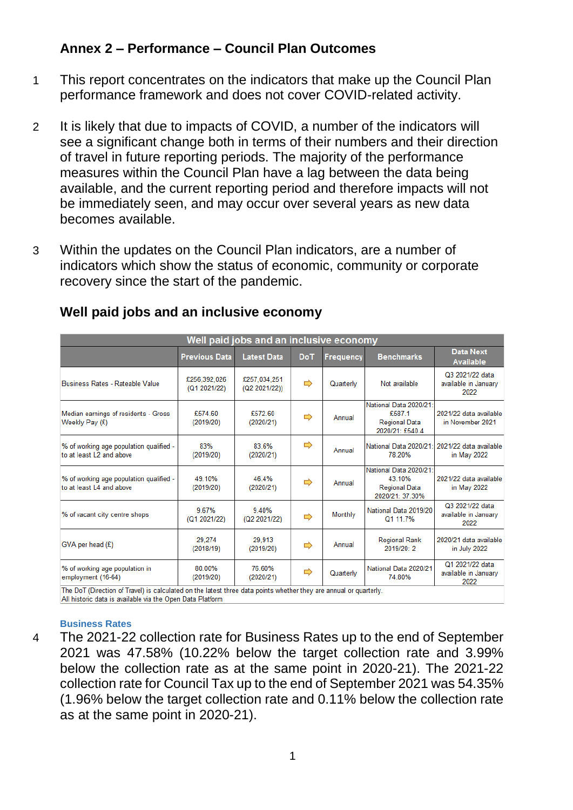# **Annex 2 – Performance – Council Plan Outcomes**

- 1 This report concentrates on the indicators that make up the Council Plan performance framework and does not cover COVID-related activity.
- 2 It is likely that due to impacts of COVID, a number of the indicators will see a significant change both in terms of their numbers and their direction of travel in future reporting periods. The majority of the performance measures within the Council Plan have a lag between the data being available, and the current reporting period and therefore impacts will not be immediately seen, and may occur over several years as new data becomes available.
- 3 Within the updates on the Council Plan indicators, are a number of indicators which show the status of economic, community or corporate recovery since the start of the pandemic.

| Well paid jobs and an inclusive economy                                                                                                                                        |                              |                               |               |                  |                                                                             |                                                 |  |  |
|--------------------------------------------------------------------------------------------------------------------------------------------------------------------------------|------------------------------|-------------------------------|---------------|------------------|-----------------------------------------------------------------------------|-------------------------------------------------|--|--|
|                                                                                                                                                                                | <b>Previous Data</b>         | <b>Latest Data</b>            | <b>DoT</b>    | <b>Frequency</b> | <b>Benchmarks</b>                                                           | <b>Data Next</b><br><b>Available</b>            |  |  |
| Business Rates - Rateable Value                                                                                                                                                | £256,392,026<br>(Q1 2021/22) | £257,034,251<br>(Q2 2021/22)) | $\Rightarrow$ | Quarterly        | Not available                                                               | Q3 2021/22 data<br>available in January<br>2022 |  |  |
| Median earnings of residents - Gross<br>Weekly Pay (£)                                                                                                                         | £574.60<br>(2019/20)         | £572.60<br>(2020/21)          | ⇨             | Annual           | National Data 2020/21:<br>£587.1<br><b>Regional Data</b><br>2020/21: £540.4 | 2021/22 data available<br>in November 2021      |  |  |
| % of working age population qualified -<br>to at least L2 and above                                                                                                            | 83%<br>(2019/20)             | 83.6%<br>(2020/21)            | ⇨             | Annual           | National Data 2020/21:<br>78.20%                                            | 2021/22 data available<br>in May $2022$         |  |  |
| % of working age population qualified -<br>to at least L4 and above                                                                                                            | 49.10%<br>(2019/20)          | 46.4%<br>(2020/21)            | ⇨             | Annual           | National Data 2020/21:<br>43.10%<br><b>Regional Data</b><br>2020/21: 37.30% | 2021/22 data available<br>in May 2022           |  |  |
| % of vacant city centre shops                                                                                                                                                  | 9.67%<br>(Q1 2021/22)        | 9.40%<br>(Q2 2021/22)         | ⇨             | Monthly          | National Data 2019/20<br>Q1 11.7%                                           | Q3 2021/22 data<br>available in January<br>2022 |  |  |
| $GVA$ per head $(E)$                                                                                                                                                           | 29.274<br>(2018/19)          | 29,913<br>(2019/20)           | ⇨             | Annual           | <b>Regional Rank</b><br>2019/20:2                                           | 2020/21 data available<br>in July 2022          |  |  |
| % of working age population in<br>employment (16-64)                                                                                                                           | 80.00%<br>(2019/20)          | 76.60%<br>(2020/21)           | ⇨             | Quarterly        | National Data 2020/21<br>74.80%                                             | Q1 2021/22 data<br>available in January<br>2022 |  |  |
| The DoT (Direction of Travel) is calculated on the latest three data points whether they are annual or quarterly.<br>All historic data is available via the Onen Data Platform |                              |                               |               |                  |                                                                             |                                                 |  |  |

# **Well paid jobs and an inclusive economy**

#### **Business Rates**

4 The 2021-22 collection rate for Business Rates up to the end of September 2021 was 47.58% (10.22% below the target collection rate and 3.99% below the collection rate as at the same point in 2020-21). The 2021-22 collection rate for Council Tax up to the end of September 2021 was 54.35% (1.96% below the target collection rate and 0.11% below the collection rate as at the same point in 2020-21).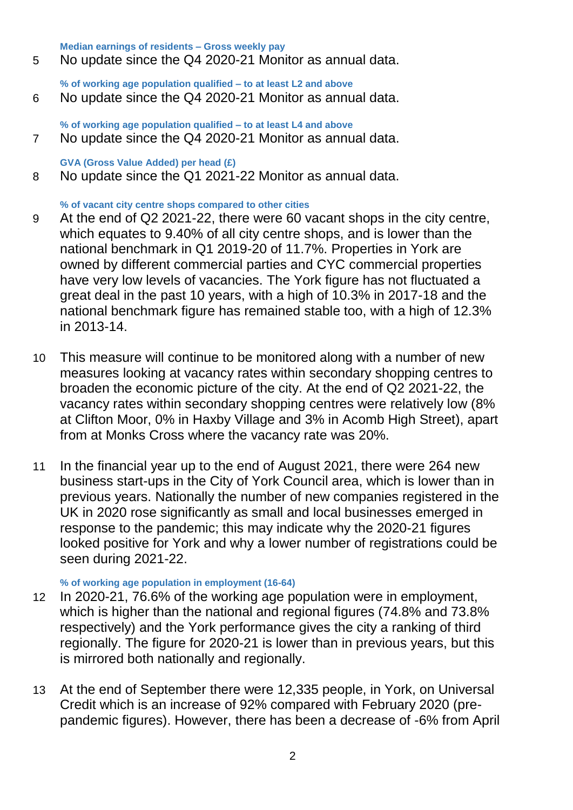**Median earnings of residents – Gross weekly pay**

5 No update since the Q4 2020-21 Monitor as annual data.

**% of working age population qualified – to at least L2 and above** 6 No update since the Q4 2020-21 Monitor as annual data.

**% of working age population qualified – to at least L4 and above** 7 No update since the Q4 2020-21 Monitor as annual data.

**GVA (Gross Value Added) per head (£)**

8 No update since the Q1 2021-22 Monitor as annual data.

### **% of vacant city centre shops compared to other cities**

- 9 At the end of Q2 2021-22, there were 60 vacant shops in the city centre, which equates to 9.40% of all city centre shops, and is lower than the national benchmark in Q1 2019-20 of 11.7%. Properties in York are owned by different commercial parties and CYC commercial properties have very low levels of vacancies. The York figure has not fluctuated a great deal in the past 10 years, with a high of 10.3% in 2017-18 and the national benchmark figure has remained stable too, with a high of 12.3% in 2013-14.
- 10 This measure will continue to be monitored along with a number of new measures looking at vacancy rates within secondary shopping centres to broaden the economic picture of the city. At the end of Q2 2021-22, the vacancy rates within secondary shopping centres were relatively low (8% at Clifton Moor, 0% in Haxby Village and 3% in Acomb High Street), apart from at Monks Cross where the vacancy rate was 20%.
- 11 In the financial year up to the end of August 2021, there were 264 new business start-ups in the City of York Council area, which is lower than in previous years. Nationally the number of new companies registered in the UK in 2020 rose significantly as small and local businesses emerged in response to the pandemic; this may indicate why the 2020-21 figures looked positive for York and why a lower number of registrations could be seen during 2021-22.

#### **% of working age population in employment (16-64)**

- 12 In 2020-21, 76.6% of the working age population were in employment, which is higher than the national and regional figures (74.8% and 73.8% respectively) and the York performance gives the city a ranking of third regionally. The figure for 2020-21 is lower than in previous years, but this is mirrored both nationally and regionally.
- 13 At the end of September there were 12,335 people, in York, on Universal Credit which is an increase of 92% compared with February 2020 (prepandemic figures). However, there has been a decrease of -6% from April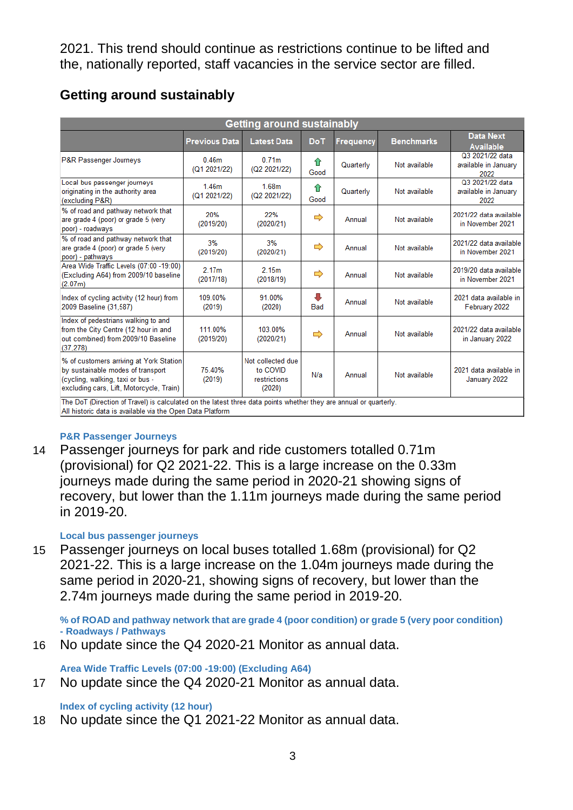2021. This trend should continue as restrictions continue to be lifted and the, nationally reported, staff vacancies in the service sector are filled.

| Getting around sustainably                                                                                                                                                     |                                   |                                                         |                 |           |                   |                                                 |  |  |
|--------------------------------------------------------------------------------------------------------------------------------------------------------------------------------|-----------------------------------|---------------------------------------------------------|-----------------|-----------|-------------------|-------------------------------------------------|--|--|
|                                                                                                                                                                                | <b>Previous Data</b>              | <b>Latest Data</b>                                      | <b>DoT</b>      | Frequency | <b>Benchmarks</b> | <b>Data Next</b><br>Available                   |  |  |
| <b>P&amp;R Passenger Journeys</b>                                                                                                                                              | 0.46 <sub>m</sub><br>(Q1 2021/22) | 0.71 <sub>m</sub><br>(Q2 2021/22)                       | ⇑<br>Good       | Quarterly | Not available     | Q3 2021/22 data<br>available in January<br>2022 |  |  |
| Local bus passenger journeys<br>originating in the authority area<br>(excluding P&R)                                                                                           | 146m<br>(Q1 2021/22)              | 1.68 <sub>m</sub><br>(Q2 2021/22)                       | ⇑<br>Good       | Quarterly | Not available     | Q3 2021/22 data<br>available in January<br>2022 |  |  |
| % of road and pathway network that<br>are grade 4 (poor) or grade 5 (very<br>poor) - roadways                                                                                  | 20%<br>(2019/20)                  | 22%<br>(2020/21)                                        | ⇨               | Annual    | Not available     | 2021/22 data available<br>in November 2021      |  |  |
| % of road and pathway network that<br>are grade 4 (poor) or grade 5 (very<br>poor) - pathways                                                                                  | 3%<br>(2019/20)                   | 3%<br>(2020/21)                                         | ⇨               | Annual    | Not available     | 2021/22 data available<br>in November 2021      |  |  |
| Area Wide Traffic Levels (07:00 -19:00)<br>(Excluding A64) from 2009/10 baseline<br>(2.07m)                                                                                    | 2.17 <sub>m</sub><br>(2017/18)    | 2.15m<br>(2018/19)                                      | ⇨               | Annual    | Not available     | 2019/20 data available<br>in November 2021      |  |  |
| Index of cycling activity (12 hour) from<br>2009 Baseline (31,587)                                                                                                             | 109.00%<br>(2019)                 | 91.00%<br>(2020)                                        | Л<br><b>Bad</b> | Annual    | Not available     | 2021 data available in<br>February 2022         |  |  |
| Index of pedestrians walking to and<br>from the City Centre (12 hour in and<br>out combined) from 2009/10 Baseline<br>(37, 278)                                                | 111.00%<br>(2019/20)              | 103.00%<br>(2020/21)                                    | ⇨               | Annual    | Not available     | 2021/22 data available<br>in January 2022       |  |  |
| % of customers arriving at York Station<br>by sustainable modes of transport<br>(cycling, walking, taxi or bus -<br>excluding cars, Lift, Motorcycle, Train)                   | 75.40%<br>(2019)                  | Not collected due<br>to COVID<br>restrictions<br>(2020) | N/a             | Annual    | Not available     | 2021 data available in<br>January 2022          |  |  |
| The DoT (Direction of Travel) is calculated on the latest three data points whether they are annual or quarterly.<br>All historic data is available via the Onen Data Platform |                                   |                                                         |                 |           |                   |                                                 |  |  |

# **Getting around sustainably**

**P&R Passenger Journeys** 

14 Passenger journeys for park and ride customers totalled 0.71m (provisional) for Q2 2021-22. This is a large increase on the 0.33m journeys made during the same period in 2020-21 showing signs of recovery, but lower than the 1.11m journeys made during the same period in 2019-20.

#### **Local bus passenger journeys**

15 Passenger journeys on local buses totalled 1.68m (provisional) for Q2 2021-22. This is a large increase on the 1.04m journeys made during the same period in 2020-21, showing signs of recovery, but lower than the 2.74m journeys made during the same period in 2019-20.

**% of ROAD and pathway network that are grade 4 (poor condition) or grade 5 (very poor condition) - Roadways / Pathways**

16 No update since the Q4 2020-21 Monitor as annual data.

**Area Wide Traffic Levels (07:00 -19:00) (Excluding A64)**

17 No update since the Q4 2020-21 Monitor as annual data.

**Index of cycling activity (12 hour)**

18 No update since the Q1 2021-22 Monitor as annual data.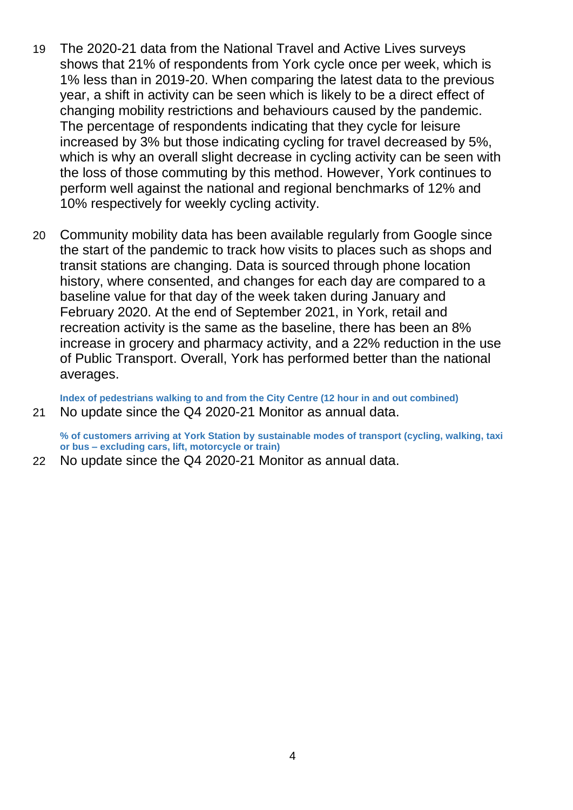- 19 The 2020-21 data from the National Travel and Active Lives surveys shows that 21% of respondents from York cycle once per week, which is 1% less than in 2019-20. When comparing the latest data to the previous year, a shift in activity can be seen which is likely to be a direct effect of changing mobility restrictions and behaviours caused by the pandemic. The percentage of respondents indicating that they cycle for leisure increased by 3% but those indicating cycling for travel decreased by 5%, which is why an overall slight decrease in cycling activity can be seen with the loss of those commuting by this method. However, York continues to perform well against the national and regional benchmarks of 12% and 10% respectively for weekly cycling activity.
- 20 Community mobility data has been available regularly from Google since the start of the pandemic to track how visits to places such as shops and transit stations are changing. Data is sourced through phone location history, where consented, and changes for each day are compared to a baseline value for that day of the week taken during January and February 2020. At the end of September 2021, in York, retail and recreation activity is the same as the baseline, there has been an 8% increase in grocery and pharmacy activity, and a 22% reduction in the use of Public Transport. Overall, York has performed better than the national averages.

**Index of pedestrians walking to and from the City Centre (12 hour in and out combined)** 21 No update since the Q4 2020-21 Monitor as annual data.

**% of customers arriving at York Station by sustainable modes of transport (cycling, walking, taxi or bus – excluding cars, lift, motorcycle or train)**

22 No update since the Q4 2020-21 Monitor as annual data.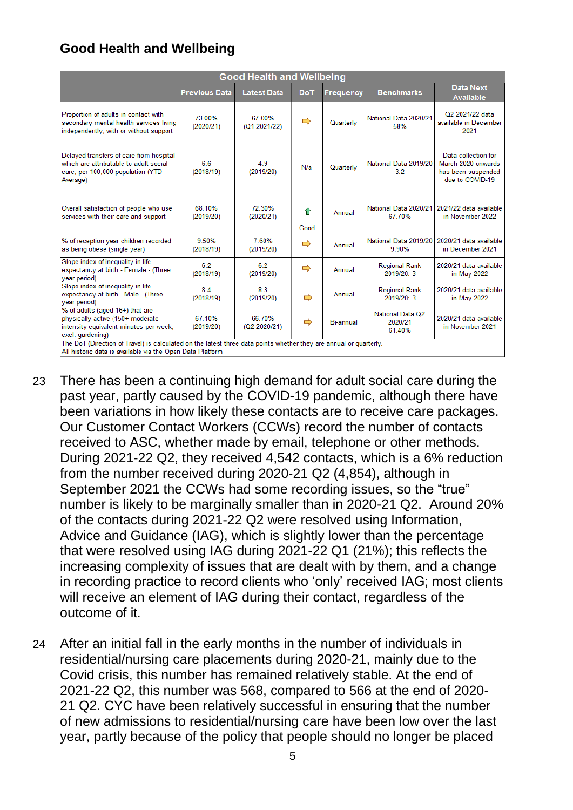# **Good Health and Wellbeing**

| <b>Good Health and Wellbeing</b>                                                                                                   |                      |                        |               |                  |                                              |                                                                                    |  |  |
|------------------------------------------------------------------------------------------------------------------------------------|----------------------|------------------------|---------------|------------------|----------------------------------------------|------------------------------------------------------------------------------------|--|--|
|                                                                                                                                    | <b>Previous Data</b> | <b>Latest Data</b>     | <b>DoT</b>    | <b>Frequency</b> | <b>Benchmarks</b>                            | <b>Data Next</b><br><b>Available</b>                                               |  |  |
| Proportion of adults in contact with<br>secondary mental health services living<br>independently, with or without support          | 73.00%<br>(2020/21)  | 67.00%<br>(Q1 2021/22) | $\Rightarrow$ | Quarterly        | National Data 2020/21<br>58%                 | Q2 2021/22 data<br>available in December<br>2021                                   |  |  |
| Delayed transfers of care from hospital<br>which are attributable to adult social<br>care, per 100,000 population (YTD<br>Average) | 6.6<br>(2018/19)     | 4.9<br>(2019/20)       | N/a           | Quarterly        | National Data 2019/20<br>3.2                 | Data collection for<br>March 2020 onwards<br>has been suspended<br>due to COVID-19 |  |  |
| Overall satisfaction of people who use<br>services with their care and support                                                     | 68.10%<br>(2019/20)  | 72.30%<br>(2020/21)    | ⇑<br>Good     | Annual           | National Data 2020/21<br>67.70%              | 2021/22 data available<br>in November 2022                                         |  |  |
| % of reception year children recorded<br>as being obese (single year)                                                              | 9.50%<br>(2018/19)   | 760%<br>(2019/20)      | $\Rightarrow$ | Annual           | National Data 2019/20<br>9.90%               | 2020/21 data available<br>in December 2021                                         |  |  |
| Slope index of inequality in life<br>expectancy at birth - Female - (Three<br>year period)                                         | 62<br>(2018/19)      | 6.2<br>(2019/20)       | ⇨             | Annual           | <b>Regional Rank</b><br>2019/20:3            | 2020/21 data available<br>in May 2022                                              |  |  |
| Slope index of inequality in life<br>expectancy at birth - Male - (Three<br>year period)                                           | 84<br>(2018/19)      | 8.3<br>(2019/20)       | $\Rightarrow$ | Annual           | <b>Regional Rank</b><br>2019/20:3            | 2020/21 data available<br>in May 2022                                              |  |  |
| % of adults (aged 16+) that are<br>physically active (150+ moderate<br>intensity equivalent minutes per week,<br>excl. gardening)  | 67.10%<br>(2019/20)  | 66.70%<br>(Q2 2020/21) | ⇨             | Bi-annual        | <b>National Data Q2</b><br>2020/21<br>61.40% | 2020/21 data available<br>in November 2021                                         |  |  |
| The DoT (Direction of Travel) is calculated on the latest three data points whether they are annual or quarterly.                  |                      |                        |               |                  |                                              |                                                                                    |  |  |

All historic data is available via the Open Data Platform

- 23 There has been a continuing high demand for adult social care during the past year, partly caused by the COVID-19 pandemic, although there have been variations in how likely these contacts are to receive care packages. Our Customer Contact Workers (CCWs) record the number of contacts received to ASC, whether made by email, telephone or other methods. During 2021-22 Q2, they received 4,542 contacts, which is a 6% reduction from the number received during 2020-21 Q2 (4,854), although in September 2021 the CCWs had some recording issues, so the "true" number is likely to be marginally smaller than in 2020-21 Q2. Around 20% of the contacts during 2021-22 Q2 were resolved using Information, Advice and Guidance (IAG), which is slightly lower than the percentage that were resolved using IAG during 2021-22 Q1 (21%); this reflects the increasing complexity of issues that are dealt with by them, and a change in recording practice to record clients who 'only' received IAG; most clients will receive an element of IAG during their contact, regardless of the outcome of it.
- 24 After an initial fall in the early months in the number of individuals in residential/nursing care placements during 2020-21, mainly due to the Covid crisis, this number has remained relatively stable. At the end of 2021-22 Q2, this number was 568, compared to 566 at the end of 2020- 21 Q2. CYC have been relatively successful in ensuring that the number of new admissions to residential/nursing care have been low over the last year, partly because of the policy that people should no longer be placed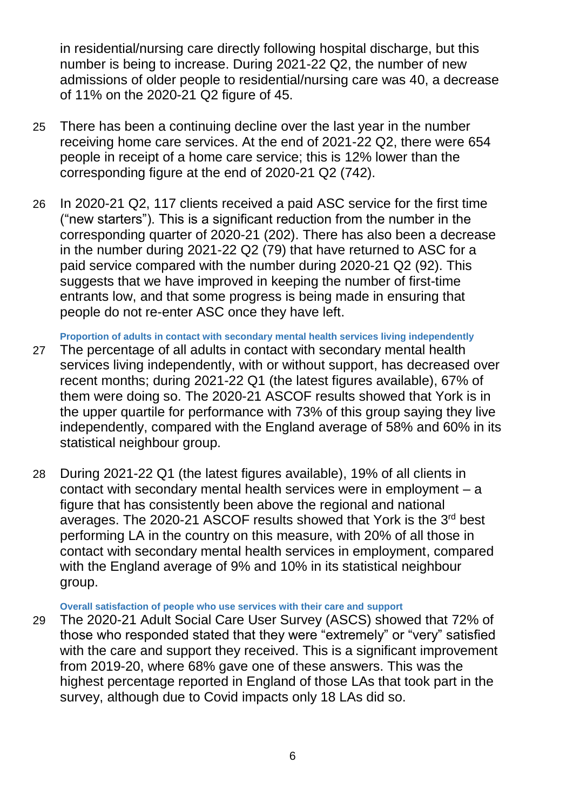in residential/nursing care directly following hospital discharge, but this number is being to increase. During 2021-22 Q2, the number of new admissions of older people to residential/nursing care was 40, a decrease of 11% on the 2020-21 Q2 figure of 45.

- 25 There has been a continuing decline over the last year in the number receiving home care services. At the end of 2021-22 Q2, there were 654 people in receipt of a home care service; this is 12% lower than the corresponding figure at the end of 2020-21 Q2 (742).
- 26 In 2020-21 Q2, 117 clients received a paid ASC service for the first time ("new starters"). This is a significant reduction from the number in the corresponding quarter of 2020-21 (202). There has also been a decrease in the number during 2021-22 Q2 (79) that have returned to ASC for a paid service compared with the number during 2020-21 Q2 (92). This suggests that we have improved in keeping the number of first-time entrants low, and that some progress is being made in ensuring that people do not re-enter ASC once they have left.

**Proportion of adults in contact with secondary mental health services living independently**

- 27 The percentage of all adults in contact with secondary mental health services living independently, with or without support, has decreased over recent months; during 2021-22 Q1 (the latest figures available), 67% of them were doing so. The 2020-21 ASCOF results showed that York is in the upper quartile for performance with 73% of this group saying they live independently, compared with the England average of 58% and 60% in its statistical neighbour group.
- 28 During 2021-22 Q1 (the latest figures available), 19% of all clients in contact with secondary mental health services were in employment – a figure that has consistently been above the regional and national averages. The 2020-21 ASCOF results showed that York is the 3<sup>rd</sup> best performing LA in the country on this measure, with 20% of all those in contact with secondary mental health services in employment, compared with the England average of 9% and 10% in its statistical neighbour group.

**Overall satisfaction of people who use services with their care and support**

29 The 2020-21 Adult Social Care User Survey (ASCS) showed that 72% of those who responded stated that they were "extremely" or "very" satisfied with the care and support they received. This is a significant improvement from 2019-20, where 68% gave one of these answers. This was the highest percentage reported in England of those LAs that took part in the survey, although due to Covid impacts only 18 LAs did so.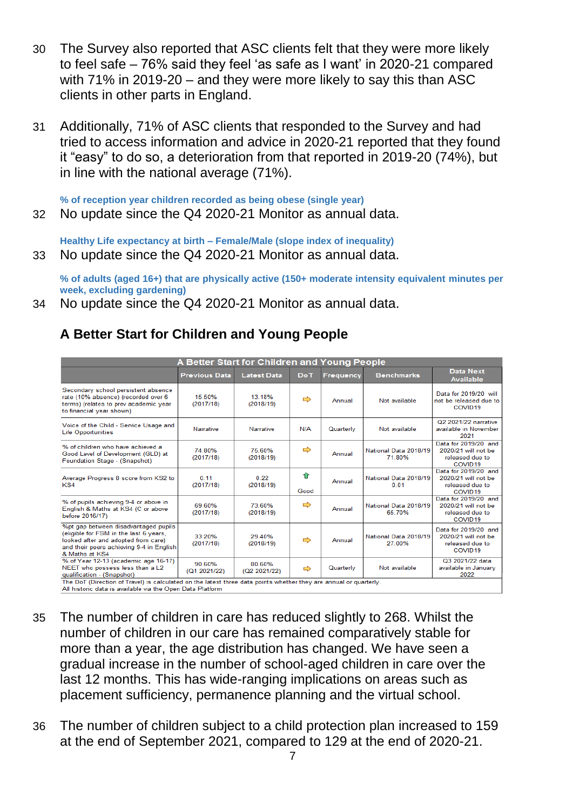- 30 The Survey also reported that ASC clients felt that they were more likely to feel safe – 76% said they feel 'as safe as I want' in 2020-21 compared with 71% in 2019-20 – and they were more likely to say this than ASC clients in other parts in England.
- 31 Additionally, 71% of ASC clients that responded to the Survey and had tried to access information and advice in 2020-21 reported that they found it "easy" to do so, a deterioration from that reported in 2019-20 (74%), but in line with the national average (71%).

**% of reception year children recorded as being obese (single year)**

32 No update since the Q4 2020-21 Monitor as annual data.

**Healthy Life expectancy at birth – Female/Male (slope index of inequality)**

33 No update since the Q4 2020-21 Monitor as annual data.

**% of adults (aged 16+) that are physically active (150+ moderate intensity equivalent minutes per week, excluding gardening)**

34 No update since the Q4 2020-21 Monitor as annual data.

# **A Better Start for Children and Young People**

| A Better Start for Children and Young People                                                                                                                                        |                        |                        |               |                  |                                 |                                                                                       |  |  |
|-------------------------------------------------------------------------------------------------------------------------------------------------------------------------------------|------------------------|------------------------|---------------|------------------|---------------------------------|---------------------------------------------------------------------------------------|--|--|
|                                                                                                                                                                                     | <b>Previous Data</b>   | <b>Latest Data</b>     | <b>DoT</b>    | <b>Frequency</b> | <b>Benchmarks</b>               | <b>Data Next</b><br><b>Available</b>                                                  |  |  |
| Secondary school persistent absence<br>rate (10% absence) (recorded over 6<br>terms) (relates to prev academic year<br>to financial year shown)                                     | 15.50%<br>(2017/18)    | 13.18%<br>(2018/19)    | ⇨             | Annual           | Not available                   | Data for 2019/20 will<br>not be released due to<br>COVID <sub>19</sub>                |  |  |
| Voice of the Child - Service Usage and<br><b>Life Opportunities</b>                                                                                                                 | Narrative              | Narrative              | N/A           | Quarterly        | Not available                   | Q2 2021/22 narrative<br>available in November<br>2021                                 |  |  |
| % of children who have achieved a<br>Good Level of Development (GLD) at<br>Foundation Stage - (Snapshot)                                                                            | 74 80%<br>(2017/18)    | 75 60%<br>(2018/19)    | ⇨             | Annual           | National Data 2018/19<br>71.80% | Data for 2019/20 and<br>2020/21 will not be<br>released due to<br>COVID <sub>19</sub> |  |  |
| Average Progress 8 score from KS2 to<br>KS4                                                                                                                                         | 0.11<br>(2017/18)      | 0.22<br>(2018/19)      | ⇑<br>Good     | Annual           | National Data 2018/19<br>0.01   | Data for 2019/20 and<br>2020/21 will not be<br>released due to<br>COVID <sub>19</sub> |  |  |
| % of pupils achieving 9-4 or above in<br>English & Maths at KS4 (C or above<br>before 2016/17)                                                                                      | 69 60%<br>(2017/18)    | 73 60%<br>(2018/19)    | ⇨             | Annual           | National Data 2018/19<br>65.70% | Data for 2019/20 and<br>2020/21 will not be<br>released due to<br>COVID <sub>19</sub> |  |  |
| %pt gap between disadvantaged pupils<br>(eligible for FSM in the last 6 years,<br>looked after and adopted from care)<br>and their peers achieving 9-4 in English<br>& Maths at KS4 | 33.20%<br>(2017/18)    | 29.40%<br>(2018/19)    | ⇨             | Annual           | National Data 2018/19<br>27.00% | Data for 2019/20 and<br>2020/21 will not be<br>released due to<br>COVID <sub>19</sub> |  |  |
| % of Year 12-13 (academic age 16-17)<br>NEET who possess less than a L2<br>qualification - (Snapshot)                                                                               | 90.60%<br>(Q1 2021/22) | 80.60%<br>(Q2 2021/22) | $\Rightarrow$ | Quarterly        | Not available                   | Q3 2021/22 data<br>available in January<br>2022                                       |  |  |
| The DoT (Direction of Travel) is calculated on the latest three data points whether they are annual or quarterly.<br>All historic data is available via the Open Data Platform      |                        |                        |               |                  |                                 |                                                                                       |  |  |

- 35 The number of children in care has reduced slightly to 268. Whilst the number of children in our care has remained comparatively stable for more than a year, the age distribution has changed. We have seen a gradual increase in the number of school-aged children in care over the last 12 months. This has wide-ranging implications on areas such as placement sufficiency, permanence planning and the virtual school.
- 36 The number of children subject to a child protection plan increased to 159 at the end of September 2021, compared to 129 at the end of 2020-21.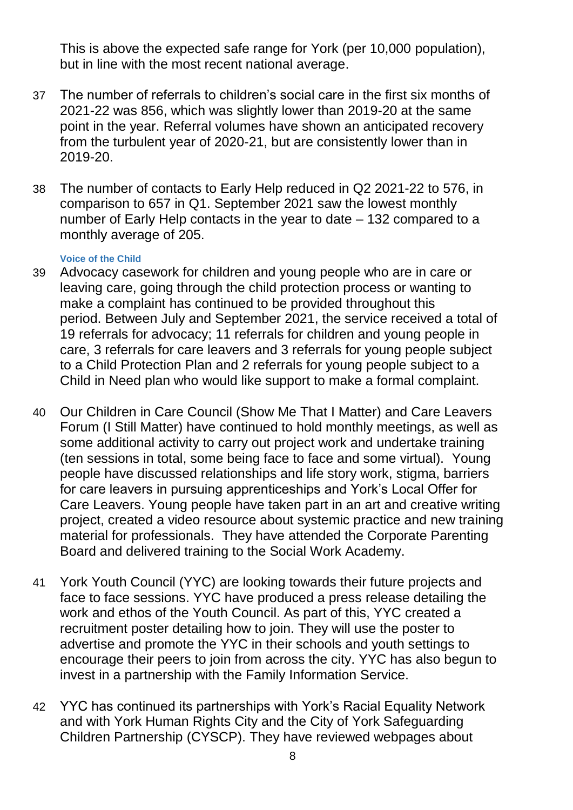This is above the expected safe range for York (per 10,000 population), but in line with the most recent national average.

- 37 The number of referrals to children's social care in the first six months of 2021-22 was 856, which was slightly lower than 2019-20 at the same point in the year. Referral volumes have shown an anticipated recovery from the turbulent year of 2020-21, but are consistently lower than in 2019-20.
- 38 The number of contacts to Early Help reduced in Q2 2021-22 to 576, in comparison to 657 in Q1. September 2021 saw the lowest monthly number of Early Help contacts in the year to date – 132 compared to a monthly average of 205.

## **Voice of the Child**

- 39 Advocacy casework for children and young people who are in care or leaving care, going through the child protection process or wanting to make a complaint has continued to be provided throughout this period. Between July and September 2021, the service received a total of 19 referrals for advocacy; 11 referrals for children and young people in care, 3 referrals for care leavers and 3 referrals for young people subject to a Child Protection Plan and 2 referrals for young people subject to a Child in Need plan who would like support to make a formal complaint.
- 40 Our Children in Care Council (Show Me That I Matter) and Care Leavers Forum (I Still Matter) have continued to hold monthly meetings, as well as some additional activity to carry out project work and undertake training (ten sessions in total, some being face to face and some virtual). Young people have discussed relationships and life story work, stigma, barriers for care leavers in pursuing apprenticeships and York's Local Offer for Care Leavers. Young people have taken part in an art and creative writing project, created a video resource about systemic practice and new training material for professionals. They have attended the Corporate Parenting Board and delivered training to the Social Work Academy.
- 41 York Youth Council (YYC) are looking towards their future projects and face to face sessions. YYC have produced a press release detailing the work and ethos of the Youth Council. As part of this, YYC created a recruitment poster detailing how to join. They will use the poster to advertise and promote the YYC in their schools and youth settings to encourage their peers to join from across the city. YYC has also begun to invest in a partnership with the Family Information Service.
- 42 YYC has continued its partnerships with York's Racial Equality Network and with York Human Rights City and the City of York Safeguarding Children Partnership (CYSCP). They have reviewed webpages about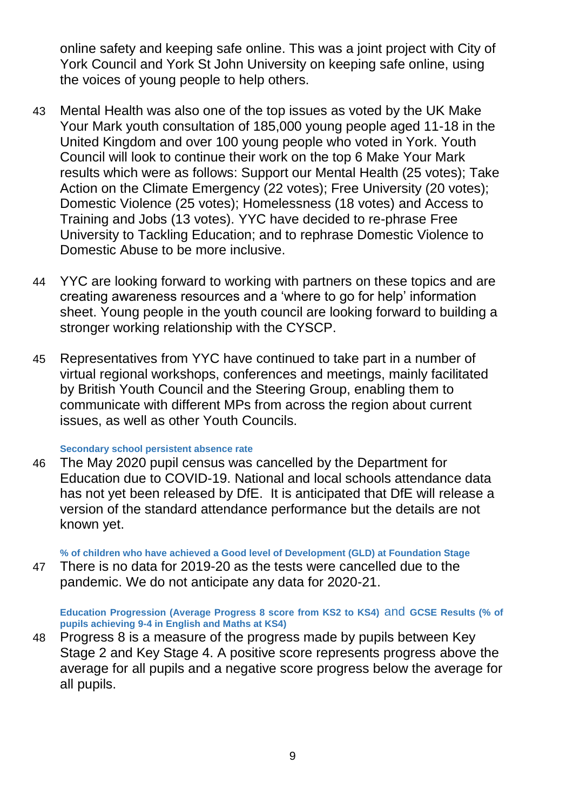online safety and keeping safe online. This was a joint project with City of York Council and York St John University on keeping safe online, using the voices of young people to help others.

- 43 Mental Health was also one of the top issues as voted by the UK Make Your Mark youth consultation of 185,000 young people aged 11-18 in the United Kingdom and over 100 young people who voted in York. Youth Council will look to continue their work on the top 6 Make Your Mark results which were as follows: Support our Mental Health (25 votes); Take Action on the Climate Emergency (22 votes); Free University (20 votes); Domestic Violence (25 votes); Homelessness (18 votes) and Access to Training and Jobs (13 votes). YYC have decided to re-phrase Free University to Tackling Education; and to rephrase Domestic Violence to Domestic Abuse to be more inclusive.
- 44 YYC are looking forward to working with partners on these topics and are creating awareness resources and a 'where to go for help' information sheet. Young people in the youth council are looking forward to building a stronger working relationship with the CYSCP.
- 45 Representatives from YYC have continued to take part in a number of virtual regional workshops, conferences and meetings, mainly facilitated by British Youth Council and the Steering Group, enabling them to communicate with different MPs from across the region about current issues, as well as other Youth Councils.

#### **Secondary school persistent absence rate**

46 The May 2020 pupil census was cancelled by the Department for Education due to COVID-19. National and local schools attendance data has not yet been released by DfE. It is anticipated that DfE will release a version of the standard attendance performance but the details are not known yet.

**% of children who have achieved a Good level of Development (GLD) at Foundation Stage**

47 There is no data for 2019-20 as the tests were cancelled due to the pandemic. We do not anticipate any data for 2020-21.

**Education Progression (Average Progress 8 score from KS2 to KS4)** and **GCSE Results (% of pupils achieving 9-4 in English and Maths at KS4)**

48 Progress 8 is a measure of the progress made by pupils between Key Stage 2 and Key Stage 4. A positive score represents progress above the average for all pupils and a negative score progress below the average for all pupils.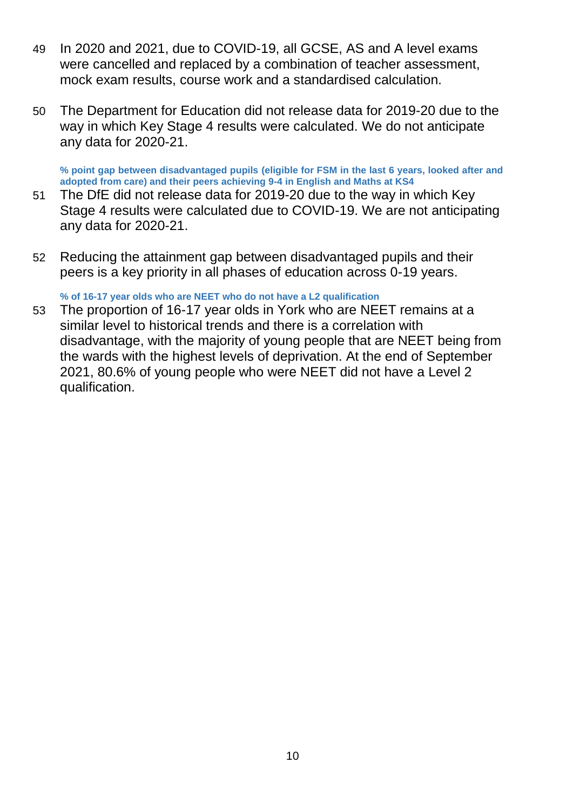- 49 In 2020 and 2021, due to COVID-19, all GCSE, AS and A level exams were cancelled and replaced by a combination of teacher assessment, mock exam results, course work and a standardised calculation.
- 50 The Department for Education did not release data for 2019-20 due to the way in which Key Stage 4 results were calculated. We do not anticipate any data for 2020-21.

**% point gap between disadvantaged pupils (eligible for FSM in the last 6 years, looked after and adopted from care) and their peers achieving 9-4 in English and Maths at KS4**

- 51 The DfE did not release data for 2019-20 due to the way in which Key Stage 4 results were calculated due to COVID-19. We are not anticipating any data for 2020-21.
- 52 Reducing the attainment gap between disadvantaged pupils and their peers is a key priority in all phases of education across 0-19 years.

**% of 16-17 year olds who are NEET who do not have a L2 qualification**

53 The proportion of 16-17 year olds in York who are NEET remains at a similar level to historical trends and there is a correlation with disadvantage, with the majority of young people that are NEET being from the wards with the highest levels of deprivation. At the end of September 2021, 80.6% of young people who were NEET did not have a Level 2 qualification.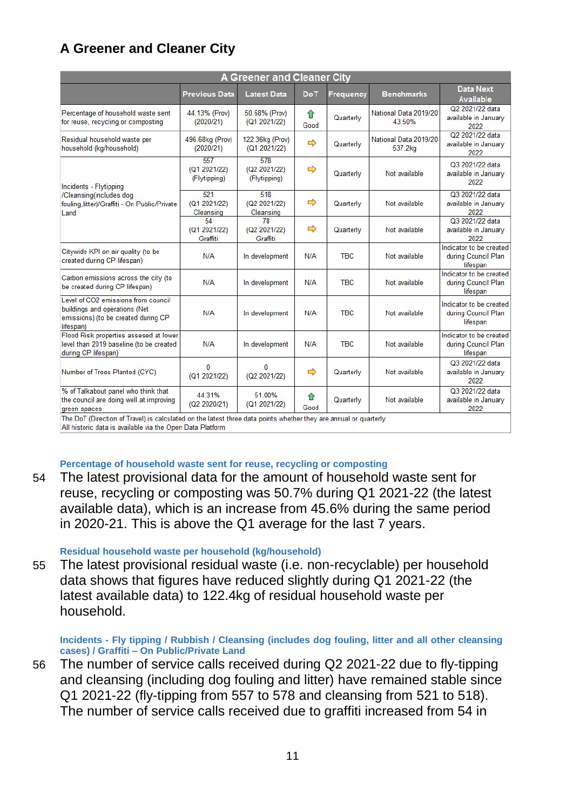# **A Greener and Cleaner City**

| <b>A Greener and Cleaner City</b>                                                                                        |                                     |                                     |           |            |                                  |                                                            |  |  |
|--------------------------------------------------------------------------------------------------------------------------|-------------------------------------|-------------------------------------|-----------|------------|----------------------------------|------------------------------------------------------------|--|--|
|                                                                                                                          | <b>Previous Data</b>                | <b>Latest Data</b>                  | DoT       | Frequency  | <b>Benchmarks</b>                | <b>Data Next</b><br><b>Available</b>                       |  |  |
| Percentage of household waste sent<br>for reuse, recycling or composting                                                 | 44.13% (Prov)<br>(2020/21)          | 50.68% (Prov)<br>(Q1 2021/22)       | ⇑<br>Good | Quarterly  | National Data 2019/20<br>43.50%  | Q2 2021/22 data<br>available in January<br>2022            |  |  |
| Residual household waste per<br>household (kg/household)                                                                 | 496.68kg (Prov)<br>(2020/21)        | 122.36kg (Prov)<br>(Q1 2021/22)     | ⇨         | Quarterly  | National Data 2019/20<br>537.2kg | Q2 2021/22 data<br>available in January<br>2022            |  |  |
| Incidents - Flytipping<br>/Cleansing(includes dog<br>fouling, litter)/Graffiti - On Public/Private<br>Land               | 557<br>(Q1 2021/22)<br>(Flytipping) | 578<br>(Q2 2021/22)<br>(Flytipping) | ⇨         | Quarterly  | Not available                    | Q3 2021/22 data<br>available in January<br>2022            |  |  |
|                                                                                                                          | 521<br>(Q1 2021/22)<br>Cleansing    | 518<br>(Q2 2021/22)<br>Cleansing    | ⇨         | Quarterly  | Not available                    | Q3 2021/22 data<br>available in January<br>2022            |  |  |
|                                                                                                                          | 54<br>(Q1 2021/22)<br>Graffiti      | 78<br>(Q2 2021/22)<br>Graffiti      | ⇨         | Quarterly  | Not available                    | Q3 2021/22 data<br>available in January<br>2022            |  |  |
| Citywide KPI on air quality (to be<br>created during CP lifespan)                                                        | N/A                                 | In development                      | N/A       | <b>TBC</b> | Not available                    | Indicator to be created<br>during Council Plan<br>lifespan |  |  |
| Carbon emissions across the city (to<br>be created during CP lifespan)                                                   | N/A                                 | In development                      | N/A       | <b>TBC</b> | Not available                    | Indicator to be created<br>during Council Plan<br>lifespan |  |  |
| Level of CO2 emissions from council<br>buildings and operations (Net<br>emissions) (to be created during CP<br>lifespan) | N/A                                 | In development                      | N/A       | <b>TBC</b> | Not available                    | Indicator to be created<br>during Council Plan<br>lifespan |  |  |
| Flood Risk properties assesed at lower<br>level than 2019 baseline (to be created<br>during CP lifespan)                 | N/A                                 | In development                      | N/A       | <b>TBC</b> | Not available                    | Indicator to be created<br>during Council Plan<br>lifespan |  |  |
| Number of Trees Planted (CYC)                                                                                            | $\Omega$<br>(Q1 2021/22)            | 0<br>(Q2 2021/22)                   | ⇨         | Quarterly  | Not available                    | Q3 2021/22 data<br>available in January<br>2022            |  |  |
| % of Talkabout panel who think that<br>the council are doing well at improving<br>green spaces                           | 44.31%<br>(Q2 2020/21)              | 51.00%<br>(Q1 2021/22)              | ⇑<br>Good | Quarterly  | Not available                    | Q3 2021/22 data<br>available in January<br>2022            |  |  |
| The DoT (Direction of Travel) is calculated on the latest three data points whether they are annual or quarterly.        |                                     |                                     |           |            |                                  |                                                            |  |  |

All historic data is available via the Open Data Platform

#### **Percentage of household waste sent for reuse, recycling or composting**

54 The latest provisional data for the amount of household waste sent for reuse, recycling or composting was 50.7% during Q1 2021-22 (the latest available data), which is an increase from 45.6% during the same period in 2020-21. This is above the Q1 average for the last 7 years.

#### **Residual household waste per household (kg/household)**

55 The latest provisional residual waste (i.e. non-recyclable) per household data shows that figures have reduced slightly during Q1 2021-22 (the latest available data) to 122.4kg of residual household waste per household.

#### **Incidents - Fly tipping / Rubbish / Cleansing (includes dog fouling, litter and all other cleansing cases) / Graffiti – On Public/Private Land**

56 The number of service calls received during Q2 2021-22 due to fly-tipping and cleansing (including dog fouling and litter) have remained stable since Q1 2021-22 (fly-tipping from 557 to 578 and cleansing from 521 to 518). The number of service calls received due to graffiti increased from 54 in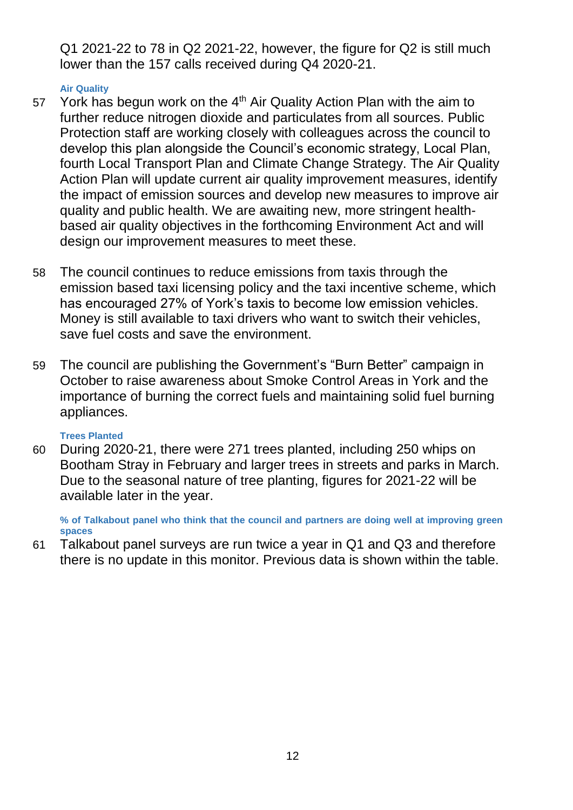Q1 2021-22 to 78 in Q2 2021-22, however, the figure for Q2 is still much lower than the 157 calls received during Q4 2020-21.

### **Air Quality**

- 57 York has begun work on the  $4<sup>th</sup>$  Air Quality Action Plan with the aim to further reduce nitrogen dioxide and particulates from all sources. Public Protection staff are working closely with colleagues across the council to develop this plan alongside the Council's economic strategy, Local Plan, fourth Local Transport Plan and Climate Change Strategy. The Air Quality Action Plan will update current air quality improvement measures, identify the impact of emission sources and develop new measures to improve air quality and public health. We are awaiting new, more stringent healthbased air quality objectives in the forthcoming Environment Act and will design our improvement measures to meet these.
- 58 The council continues to reduce emissions from taxis through the emission based taxi licensing policy and the taxi incentive scheme, which has encouraged 27% of York's taxis to become low emission vehicles. Money is still available to taxi drivers who want to switch their vehicles, save fuel costs and save the environment.
- 59 The council are publishing the Government's "Burn Better" campaign in October to raise awareness about Smoke Control Areas in York and the importance of burning the correct fuels and maintaining solid fuel burning appliances.

## **Trees Planted**

60 During 2020-21, there were 271 trees planted, including 250 whips on Bootham Stray in February and larger trees in streets and parks in March. Due to the seasonal nature of tree planting, figures for 2021-22 will be available later in the year.

**% of Talkabout panel who think that the council and partners are doing well at improving green spaces**

61 Talkabout panel surveys are run twice a year in Q1 and Q3 and therefore there is no update in this monitor. Previous data is shown within the table.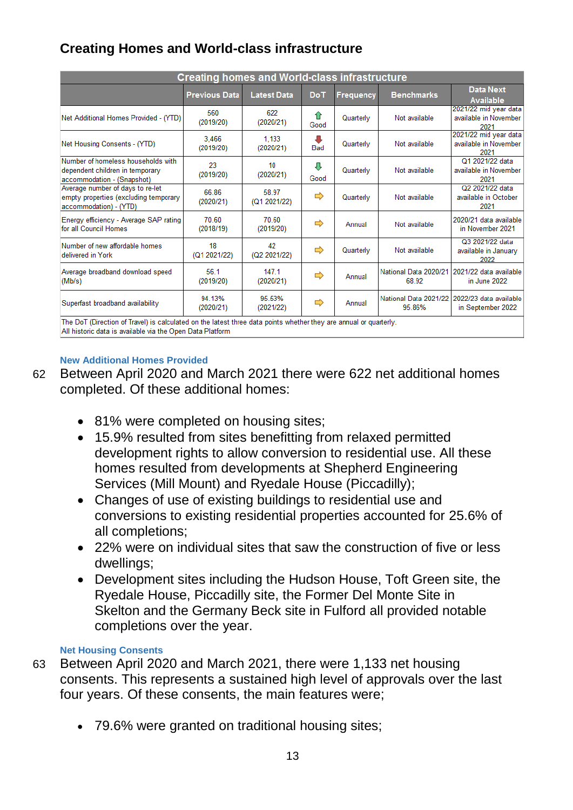# **Creating Homes and World-class infrastructure**

| <b>Creating homes and World-class infrastructure</b>                                                |                                                                                                                   |                       |                 |                  |                                 |                                                        |  |  |  |
|-----------------------------------------------------------------------------------------------------|-------------------------------------------------------------------------------------------------------------------|-----------------------|-----------------|------------------|---------------------------------|--------------------------------------------------------|--|--|--|
|                                                                                                     | <b>Previous Data</b>                                                                                              | <b>Latest Data</b>    | Do <sub>T</sub> | <b>Frequency</b> | <b>Benchmarks</b>               | <b>Data Next</b><br><b>Available</b>                   |  |  |  |
| Net Additional Homes Provided - (YTD)                                                               | 560<br>(2019/20)                                                                                                  | 622<br>(2020/21)      | ⇑<br>Good       | Quarterly        | Not available                   | 2021/22 mid year data<br>available in November<br>2021 |  |  |  |
| Net Housing Consents - (YTD)                                                                        | 3.466<br>(2019/20)                                                                                                | 1.133<br>(2020/21)    | л<br><b>Bad</b> | Quarterly        | Not available                   | 2021/22 mid year data<br>available in November<br>2021 |  |  |  |
| Number of homeless households with<br>dependent children in temporary<br>accommodation - (Snapshot) | 23<br>(2019/20)                                                                                                   | 10<br>(2020/21)       | Д<br>Good       | Quarterly        | Not available                   | Q1 2021/22 data<br>available in November<br>2021       |  |  |  |
| Average number of days to re-let<br>empty properties (excluding temporary<br>accommodation) - (YTD) | 66 86<br>(2020/21)                                                                                                | 58.97<br>(Q1 2021/22) | ⇨               | Quarterly        | Not available                   | Q2 2021/22 data<br>available in October<br>2021        |  |  |  |
| Energy efficiency - Average SAP rating<br>for all Council Homes                                     | 70.60<br>(2018/19)                                                                                                | 70.60<br>(2019/20)    | ⇨               | Annual           | Not available                   | 2020/21 data available<br>in November 2021             |  |  |  |
| Number of new affordable homes<br>delivered in York                                                 | 18<br>(Q1 2021/22)                                                                                                | 42<br>(Q2 2021/22)    | ⇨               | Quarterly        | Not available                   | Q3 2021/22 data<br>available in January<br>2022        |  |  |  |
| Average broadband download speed<br>(Mb/s)                                                          | 56.1<br>(2019/20)                                                                                                 | 147.1<br>(2020/21)    | ⇨               | Annual           | National Data 2020/21<br>68.92  | 2021/22 data available<br>in June 2022                 |  |  |  |
| Superfast broadband availability                                                                    | 94.13%<br>(2020/21)                                                                                               | 95.53%<br>(2021/22)   | ⇨               | Annual           | National Data 2021/22<br>95.86% | 2022/23 data available<br>in September 2022            |  |  |  |
|                                                                                                     | The DoT (Direction of Travel) is calculated on the latest three data points whether they are annual or quarterly. |                       |                 |                  |                                 |                                                        |  |  |  |

All historic data is available via the Open Data Platform

## **New Additional Homes Provided**

- 62 Between April 2020 and March 2021 there were 622 net additional homes completed. Of these additional homes:
	- 81% were completed on housing sites;
	- 15.9% resulted from sites benefitting from relaxed permitted development rights to allow conversion to residential use. All these homes resulted from developments at Shepherd Engineering Services (Mill Mount) and Ryedale House (Piccadilly);
	- Changes of use of existing buildings to residential use and conversions to existing residential properties accounted for 25.6% of all completions;
	- 22% were on individual sites that saw the construction of five or less dwellings;
	- Development sites including the Hudson House, Toft Green site, the Ryedale House, Piccadilly site, the Former Del Monte Site in Skelton and the Germany Beck site in Fulford all provided notable completions over the year.

## **Net Housing Consents**

- 63 Between April 2020 and March 2021, there were 1,133 net housing consents. This represents a sustained high level of approvals over the last four years. Of these consents, the main features were;
	- 79.6% were granted on traditional housing sites;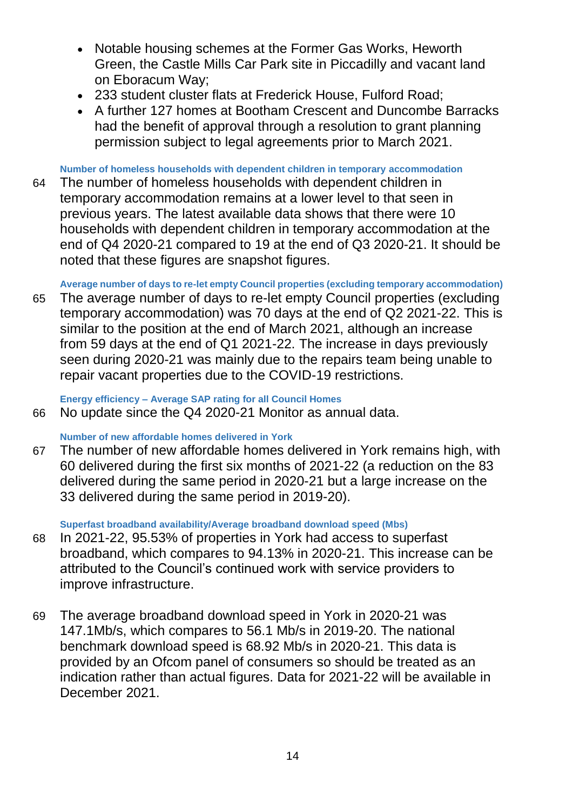- Notable housing schemes at the Former Gas Works, Heworth Green, the Castle Mills Car Park site in Piccadilly and vacant land on Eboracum Way;
- 233 student cluster flats at Frederick House, Fulford Road;
- A further 127 homes at Bootham Crescent and Duncombe Barracks had the benefit of approval through a resolution to grant planning permission subject to legal agreements prior to March 2021.

**Number of homeless households with dependent children in temporary accommodation**

64 The number of homeless households with dependent children in temporary accommodation remains at a lower level to that seen in previous years. The latest available data shows that there were 10 households with dependent children in temporary accommodation at the end of Q4 2020-21 compared to 19 at the end of Q3 2020-21. It should be noted that these figures are snapshot figures.

**Average number of days to re-let empty Council properties (excluding temporary accommodation)**

65 The average number of days to re-let empty Council properties (excluding temporary accommodation) was 70 days at the end of Q2 2021-22. This is similar to the position at the end of March 2021, although an increase from 59 days at the end of Q1 2021-22. The increase in days previously seen during 2020-21 was mainly due to the repairs team being unable to repair vacant properties due to the COVID-19 restrictions.

**Energy efficiency – Average SAP rating for all Council Homes**

66 No update since the Q4 2020-21 Monitor as annual data.

# **Number of new affordable homes delivered in York**

67 The number of new affordable homes delivered in York remains high, with 60 delivered during the first six months of 2021-22 (a reduction on the 83 delivered during the same period in 2020-21 but a large increase on the 33 delivered during the same period in 2019-20).

**Superfast broadband availability/Average broadband download speed (Mbs)**

- 68 In 2021-22, 95.53% of properties in York had access to superfast broadband, which compares to 94.13% in 2020-21. This increase can be attributed to the Council's continued work with service providers to improve infrastructure.
- 69 The average broadband download speed in York in 2020-21 was 147.1Mb/s, which compares to 56.1 Mb/s in 2019-20. The national benchmark download speed is 68.92 Mb/s in 2020-21. This data is provided by an Ofcom panel of consumers so should be treated as an indication rather than actual figures. Data for 2021-22 will be available in December 2021.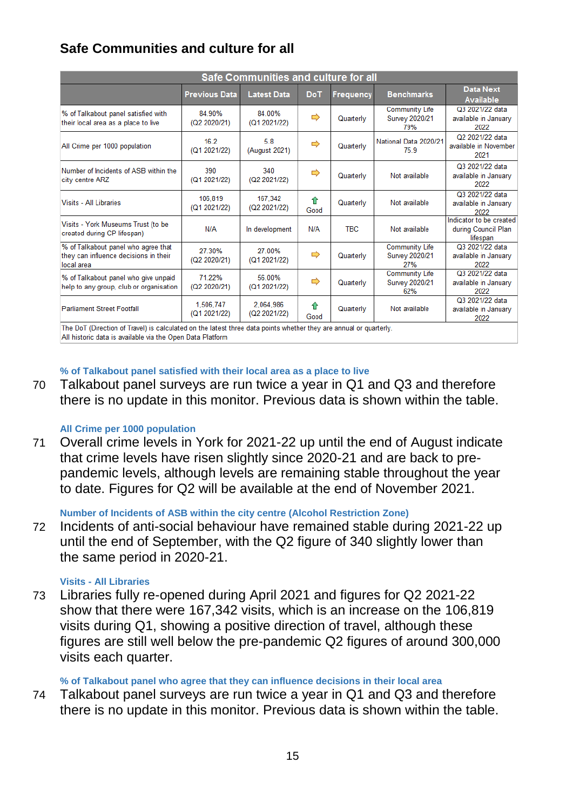# **Safe Communities and culture for all**

| Safe Communities and culture for all                                                       |                           |                           |           |                  |                                                       |                                                            |  |  |
|--------------------------------------------------------------------------------------------|---------------------------|---------------------------|-----------|------------------|-------------------------------------------------------|------------------------------------------------------------|--|--|
|                                                                                            | <b>Previous Data</b>      | <b>Latest Data</b>        | DoT.      | <b>Frequency</b> | <b>Benchmarks</b>                                     | <b>Data Next</b><br><b>Available</b>                       |  |  |
| % of Talkabout panel satisfied with<br>their local area as a place to live                 | 84.90%<br>(Q2 2020/21)    | 84.00%<br>(Q1 2021/22)    | ⇨         | Quarterly        | <b>Community Life</b><br>Survey 2020/21<br>79%        | Q3 2021/22 data<br>available in January<br>2022            |  |  |
| All Crime per 1000 population                                                              | 16.2<br>(Q1 2021/22)      | 5.8<br>(August 2021)      | ⇨         | Quarterly        | National Data 2020/21<br>75.9                         | Q2 2021/22 data<br>available in November<br>2021           |  |  |
| Number of Incidents of ASB within the<br>city centre ARZ                                   | 390<br>(Q1 2021/22)       | 340<br>(Q2 2021/22)       | ⇨         | Quarterly        | Not available                                         | Q3 2021/22 data<br>available in January<br>2022            |  |  |
| Visits - All Libraries                                                                     | 106.819<br>(Q1 2021/22)   | 167.342<br>(Q2 2021/22)   | ⇑<br>Good | Quarterly        | Not available                                         | Q3 2021/22 data<br>available in January<br>2022            |  |  |
| Visits - York Museums Trust (to be<br>created during CP lifespan)                          | N/A                       | In development            | N/A       | <b>TBC</b>       | Not available                                         | Indicator to be created<br>during Council Plan<br>lifespan |  |  |
| % of Talkabout panel who agree that<br>they can influence decisions in their<br>local area | 27.30%<br>(Q2 2020/21)    | 27.00%<br>(Q1 2021/22)    | ⇨         | Quarterly        | <b>Community Life</b><br><b>Survey 2020/21</b><br>27% | Q3 2021/22 data<br>available in January<br>2022            |  |  |
| % of Talkabout panel who give unpaid<br>help to any group, club or organisation            | 71 22%<br>(Q2 2020/21)    | 56 00%<br>(Q1 2021/22)    | ⇨         | Quarterly        | <b>Community Life</b><br><b>Survey 2020/21</b><br>62% | Q3 2021/22 data<br>available in January<br>2022            |  |  |
| <b>Parliament Street Footfall</b>                                                          | 1.506.747<br>(Q1 2021/22) | 2.064.986<br>(Q2 2021/22) | ⇑<br>Good | Quarterly        | Not available                                         | Q3 2021/22 data<br>available in January<br>2022            |  |  |

The DoT (Direction of Travel) is calculated on the latest three data points whether they are annual or quarterly. All historic data is available via the Open Data Platform

## **% of Talkabout panel satisfied with their local area as a place to live**

70 Talkabout panel surveys are run twice a year in Q1 and Q3 and therefore there is no update in this monitor. Previous data is shown within the table.

#### **All Crime per 1000 population**

71 Overall crime levels in York for 2021-22 up until the end of August indicate that crime levels have risen slightly since 2020-21 and are back to prepandemic levels, although levels are remaining stable throughout the year to date. Figures for Q2 will be available at the end of November 2021.

**Number of Incidents of ASB within the city centre (Alcohol Restriction Zone)**

72 Incidents of anti-social behaviour have remained stable during 2021-22 up until the end of September, with the Q2 figure of 340 slightly lower than the same period in 2020-21.

#### **Visits - All Libraries**

73 Libraries fully re-opened during April 2021 and figures for Q2 2021-22 show that there were 167,342 visits, which is an increase on the 106,819 visits during Q1, showing a positive direction of travel, although these figures are still well below the pre-pandemic Q2 figures of around 300,000 visits each quarter.

## **% of Talkabout panel who agree that they can influence decisions in their local area**

74 Talkabout panel surveys are run twice a year in Q1 and Q3 and therefore there is no update in this monitor. Previous data is shown within the table.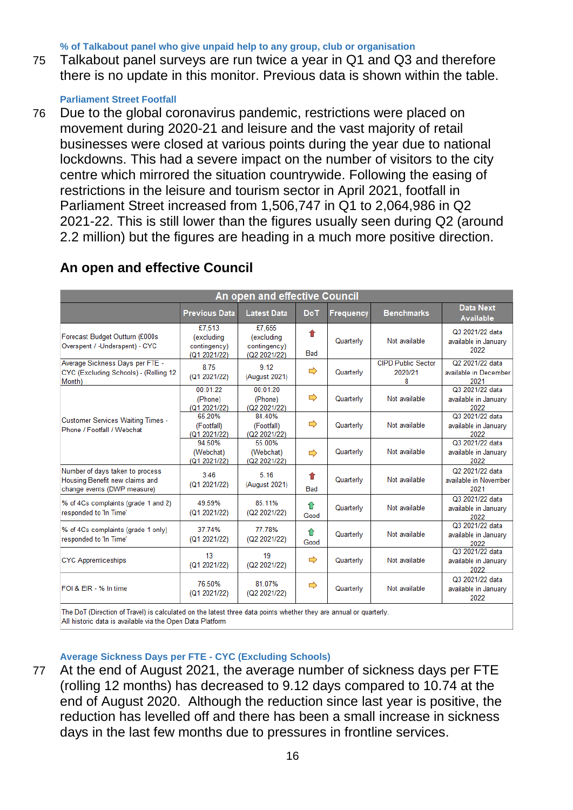**% of Talkabout panel who give unpaid help to any group, club or organisation**

75 Talkabout panel surveys are run twice a year in Q1 and Q3 and therefore there is no update in this monitor. Previous data is shown within the table.

### **Parliament Street Footfall**

76 Due to the global coronavirus pandemic, restrictions were placed on movement during 2020-21 and leisure and the vast majority of retail businesses were closed at various points during the year due to national lockdowns. This had a severe impact on the number of visitors to the city centre which mirrored the situation countrywide. Following the easing of restrictions in the leisure and tourism sector in April 2021, footfall in Parliament Street increased from 1,506,747 in Q1 to 2,064,986 in Q2 2021-22. This is still lower than the figures usually seen during Q2 (around 2.2 million) but the figures are heading in a much more positive direction.

| An open and effective Council                                                                                    |                                                      |                                                      |                 |                  |                                           |                                                  |  |  |
|------------------------------------------------------------------------------------------------------------------|------------------------------------------------------|------------------------------------------------------|-----------------|------------------|-------------------------------------------|--------------------------------------------------|--|--|
|                                                                                                                  | <b>Previous Data</b>                                 | <b>Latest Data</b>                                   | <b>DoT</b>      | <b>Frequency</b> | <b>Benchmarks</b>                         | <b>Data Next</b><br><b>Available</b>             |  |  |
| Forecast Budget Outturn (£000s<br>Overspent / -Underspent) - CYC                                                 | £7,513<br>(excluding<br>contingency)<br>(Q1 2021/22) | £7,655<br>(excluding<br>contingency)<br>(Q2 2021/22) | ⇑<br><b>Bad</b> | Quarterly        | Not available                             | Q3 2021/22 data<br>available in January<br>2022  |  |  |
| Average Sickness Days per FTE -<br>CYC (Excluding Schools) - (Rolling 12<br>Month)                               | 8.75<br>(Q1 2021/22)                                 | 9.12<br>(August 2021)                                | ⇨               | Quarterly        | <b>CIPD Public Sector</b><br>2020/21<br>8 | Q2 2021/22 data<br>available in December<br>2021 |  |  |
|                                                                                                                  | 00:01:22<br>(Phone)<br>(Q1 2021/22)                  | 00:01:20<br>(Phone)<br>(Q2 2021/22)                  | $\Rightarrow$   | Quarterly        | Not available                             | Q3 2021/22 data<br>available in January<br>2022  |  |  |
| <b>Customer Services Waiting Times -</b><br>Phone / Footfall / Webchat                                           | 65.20%<br>(Footfall)<br>(Q1 2021/22)                 | 84.40%<br>(Footfall)<br>(Q2 2021/22)                 | ⇨               | Quarterly        | Not available                             | Q3 2021/22 data<br>available in January<br>2022  |  |  |
|                                                                                                                  | 94.50%<br>(Webchat)<br>(Q1 2021/22)                  | 55.00%<br>(Webchat)<br>(Q2 2021/22)                  | $\Rightarrow$   | Quarterly        | Not available                             | Q3 2021/22 data<br>available in January<br>2022  |  |  |
| Number of days taken to process<br>Housing Benefit new claims and<br>change events (DWP measure)                 | 3.46<br>(Q1 2021/22)                                 | 5.16<br>(August 2021)                                | ♠<br><b>Bad</b> | Quarterly        | Not available                             | Q2 2021/22 data<br>available in November<br>2021 |  |  |
| % of 4Cs complaints (grade 1 and 2)<br>responded to 'In Time'                                                    | 49.59%<br>(Q1 2021/22)                               | 85 11%<br>(Q2 2021/22)                               | ⇧<br>Good       | Quarterly        | Not available                             | Q3 2021/22 data<br>available in January<br>2022  |  |  |
| % of 4Cs complaints (grade 1 only)<br>responded to 'In Time'                                                     | 37.74%<br>(Q1 2021/22)                               | 77.78%<br>(Q2 2021/22)                               | ⇑<br>Good       | Quarterly        | Not available                             | Q3 2021/22 data<br>available in January<br>2022  |  |  |
| <b>CYC Apprenticeships</b>                                                                                       | 13<br>(Q1 2021/22)                                   | 19<br>(Q2 2021/22)                                   | $\Rightarrow$   | Quarterly        | Not available                             | Q3 2021/22 data<br>available in January<br>2022  |  |  |
| FOI & EIR - % In time                                                                                            | 76.50%<br>(Q1 2021/22)                               | 81.07%<br>(Q2 2021/22)                               | ⇨               | Quarterly        | Not available                             | Q3 2021/22 data<br>available in January<br>2022  |  |  |
| The DoT (Direction of Travel) is calculated on the latest three data points whether they are annual or quarterly |                                                      |                                                      |                 |                  |                                           |                                                  |  |  |

# **An open and effective Council**

All historic data is available via the Open Data Platform

#### **Average Sickness Days per FTE - CYC (Excluding Schools)**

77 At the end of August 2021, the average number of sickness days per FTE (rolling 12 months) has decreased to 9.12 days compared to 10.74 at the end of August 2020. Although the reduction since last year is positive, the reduction has levelled off and there has been a small increase in sickness days in the last few months due to pressures in frontline services.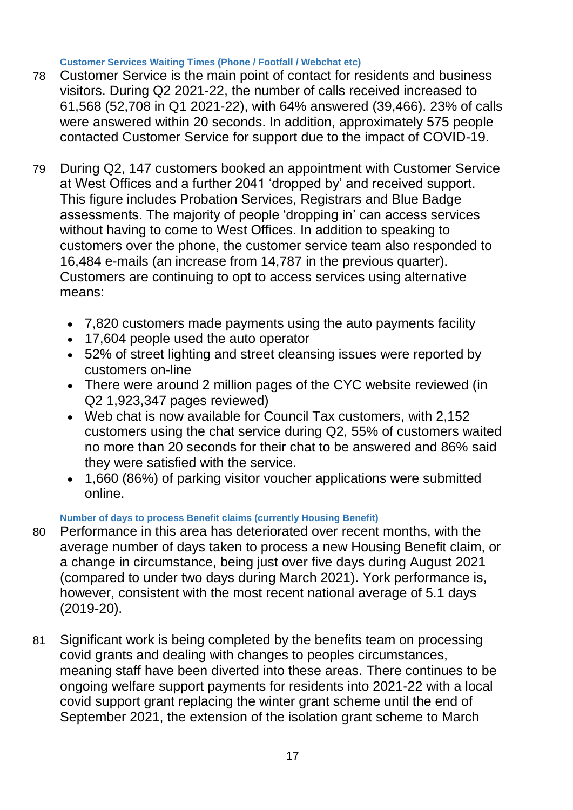#### **Customer Services Waiting Times (Phone / Footfall / Webchat etc)**

- 78 Customer Service is the main point of contact for residents and business visitors. During Q2 2021-22, the number of calls received increased to 61,568 (52,708 in Q1 2021-22), with 64% answered (39,466). 23% of calls were answered within 20 seconds. In addition, approximately 575 people contacted Customer Service for support due to the impact of COVID-19.
- 79 During Q2, 147 customers booked an appointment with Customer Service at West Offices and a further 2041 'dropped by' and received support. This figure includes Probation Services, Registrars and Blue Badge assessments. The majority of people 'dropping in' can access services without having to come to West Offices. In addition to speaking to customers over the phone, the customer service team also responded to 16,484 e-mails (an increase from 14,787 in the previous quarter). Customers are continuing to opt to access services using alternative means:
	- 7,820 customers made payments using the auto payments facility
	- 17,604 people used the auto operator
	- 52% of street lighting and street cleansing issues were reported by customers on-line
	- There were around 2 million pages of the CYC website reviewed (in Q2 1,923,347 pages reviewed)
	- Web chat is now available for Council Tax customers, with 2,152 customers using the chat service during Q2, 55% of customers waited no more than 20 seconds for their chat to be answered and 86% said they were satisfied with the service.
	- 1,660 (86%) of parking visitor voucher applications were submitted online.

## **Number of days to process Benefit claims (currently Housing Benefit)**

- 80 Performance in this area has deteriorated over recent months, with the average number of days taken to process a new Housing Benefit claim, or a change in circumstance, being just over five days during August 2021 (compared to under two days during March 2021). York performance is, however, consistent with the most recent national average of 5.1 days (2019-20).
- 81 Significant work is being completed by the benefits team on processing covid grants and dealing with changes to peoples circumstances, meaning staff have been diverted into these areas. There continues to be ongoing welfare support payments for residents into 2021-22 with a local covid support grant replacing the winter grant scheme until the end of September 2021, the extension of the isolation grant scheme to March